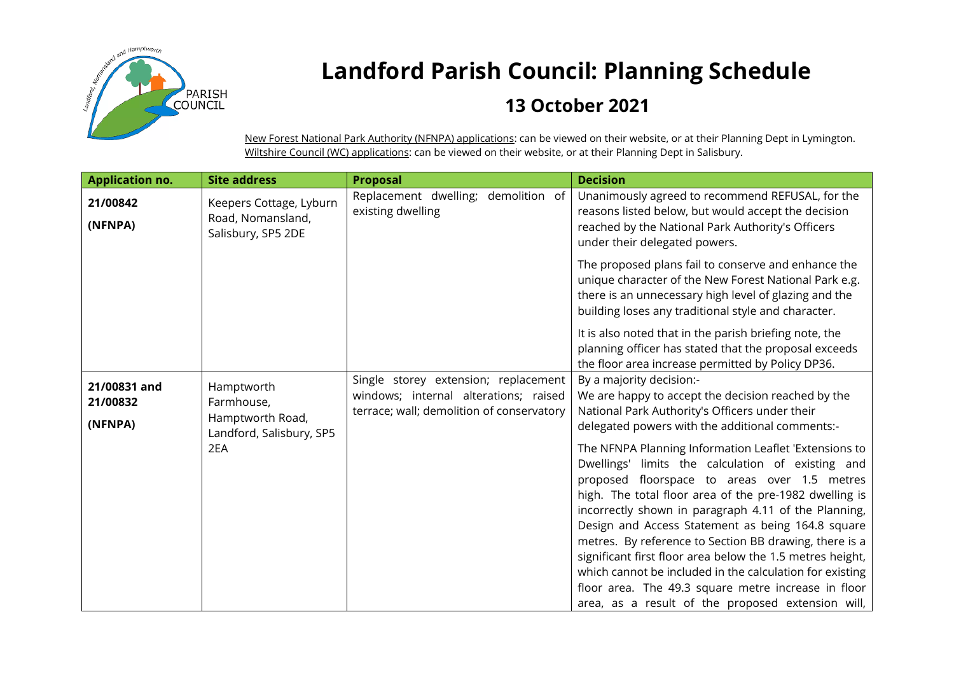

## **Landford Parish Council: Planning Schedule**

## **13 October 2021**

New Forest National Park Authority (NFNPA) applications: can be viewed on their website, or at their Planning Dept in Lymington. Wiltshire Council (WC) applications: can be viewed on their website, or at their Planning Dept in Salisbury.

| <b>Application no.</b>              | <b>Site address</b>                                                             | Proposal                                                                                                                   | <b>Decision</b>                                                                                                                                                                                                                                                                                                                                                                                                                                                                                                                                                                                                                                                                                                                                                                                                         |
|-------------------------------------|---------------------------------------------------------------------------------|----------------------------------------------------------------------------------------------------------------------------|-------------------------------------------------------------------------------------------------------------------------------------------------------------------------------------------------------------------------------------------------------------------------------------------------------------------------------------------------------------------------------------------------------------------------------------------------------------------------------------------------------------------------------------------------------------------------------------------------------------------------------------------------------------------------------------------------------------------------------------------------------------------------------------------------------------------------|
| 21/00842<br>(NFNPA)                 | Keepers Cottage, Lyburn<br>Road, Nomansland,<br>Salisbury, SP5 2DE              | Replacement dwelling; demolition of<br>existing dwelling                                                                   | Unanimously agreed to recommend REFUSAL, for the<br>reasons listed below, but would accept the decision<br>reached by the National Park Authority's Officers<br>under their delegated powers.                                                                                                                                                                                                                                                                                                                                                                                                                                                                                                                                                                                                                           |
|                                     |                                                                                 |                                                                                                                            | The proposed plans fail to conserve and enhance the<br>unique character of the New Forest National Park e.g.<br>there is an unnecessary high level of glazing and the<br>building loses any traditional style and character.                                                                                                                                                                                                                                                                                                                                                                                                                                                                                                                                                                                            |
|                                     |                                                                                 |                                                                                                                            | It is also noted that in the parish briefing note, the<br>planning officer has stated that the proposal exceeds<br>the floor area increase permitted by Policy DP36.                                                                                                                                                                                                                                                                                                                                                                                                                                                                                                                                                                                                                                                    |
| 21/00831 and<br>21/00832<br>(NFNPA) | Hamptworth<br>Farmhouse,<br>Hamptworth Road,<br>Landford, Salisbury, SP5<br>2EA | Single storey extension; replacement<br>windows; internal alterations; raised<br>terrace; wall; demolition of conservatory | By a majority decision:-<br>We are happy to accept the decision reached by the<br>National Park Authority's Officers under their<br>delegated powers with the additional comments:-<br>The NFNPA Planning Information Leaflet 'Extensions to<br>Dwellings' limits the calculation of existing and<br>proposed floorspace to areas over 1.5 metres<br>high. The total floor area of the pre-1982 dwelling is<br>incorrectly shown in paragraph 4.11 of the Planning,<br>Design and Access Statement as being 164.8 square<br>metres. By reference to Section BB drawing, there is a<br>significant first floor area below the 1.5 metres height,<br>which cannot be included in the calculation for existing<br>floor area. The 49.3 square metre increase in floor<br>area, as a result of the proposed extension will, |